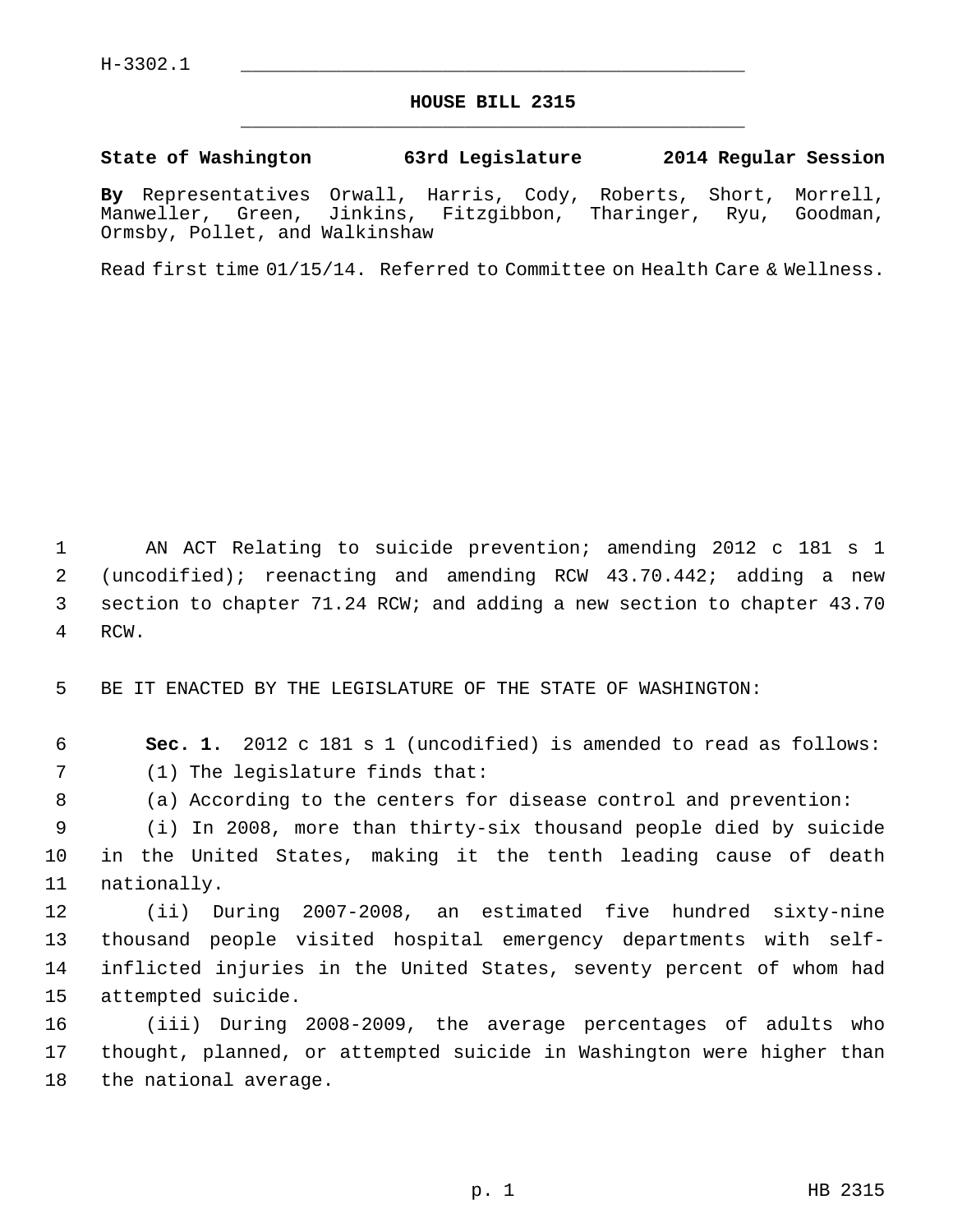## **HOUSE BILL 2315** \_\_\_\_\_\_\_\_\_\_\_\_\_\_\_\_\_\_\_\_\_\_\_\_\_\_\_\_\_\_\_\_\_\_\_\_\_\_\_\_\_\_\_\_\_

## **State of Washington 63rd Legislature 2014 Regular Session**

**By** Representatives Orwall, Harris, Cody, Roberts, Short, Morrell, Manweller, Green, Jinkins, Fitzgibbon, Tharinger, Ryu, Goodman, Ormsby, Pollet, and Walkinshaw

Read first time 01/15/14. Referred to Committee on Health Care & Wellness.

 1 AN ACT Relating to suicide prevention; amending 2012 c 181 s 1 2 (uncodified); reenacting and amending RCW 43.70.442; adding a new 3 section to chapter 71.24 RCW; and adding a new section to chapter 43.70 4 RCW.

5 BE IT ENACTED BY THE LEGISLATURE OF THE STATE OF WASHINGTON:

6 **Sec. 1.** 2012 c 181 s 1 (uncodified) is amended to read as follows:

7 (1) The legislature finds that:

8 (a) According to the centers for disease control and prevention:

 9 (i) In 2008, more than thirty-six thousand people died by suicide 10 in the United States, making it the tenth leading cause of death 11 nationally.

12 (ii) During 2007-2008, an estimated five hundred sixty-nine 13 thousand people visited hospital emergency departments with self-14 inflicted injuries in the United States, seventy percent of whom had 15 attempted suicide.

16 (iii) During 2008-2009, the average percentages of adults who 17 thought, planned, or attempted suicide in Washington were higher than 18 the national average.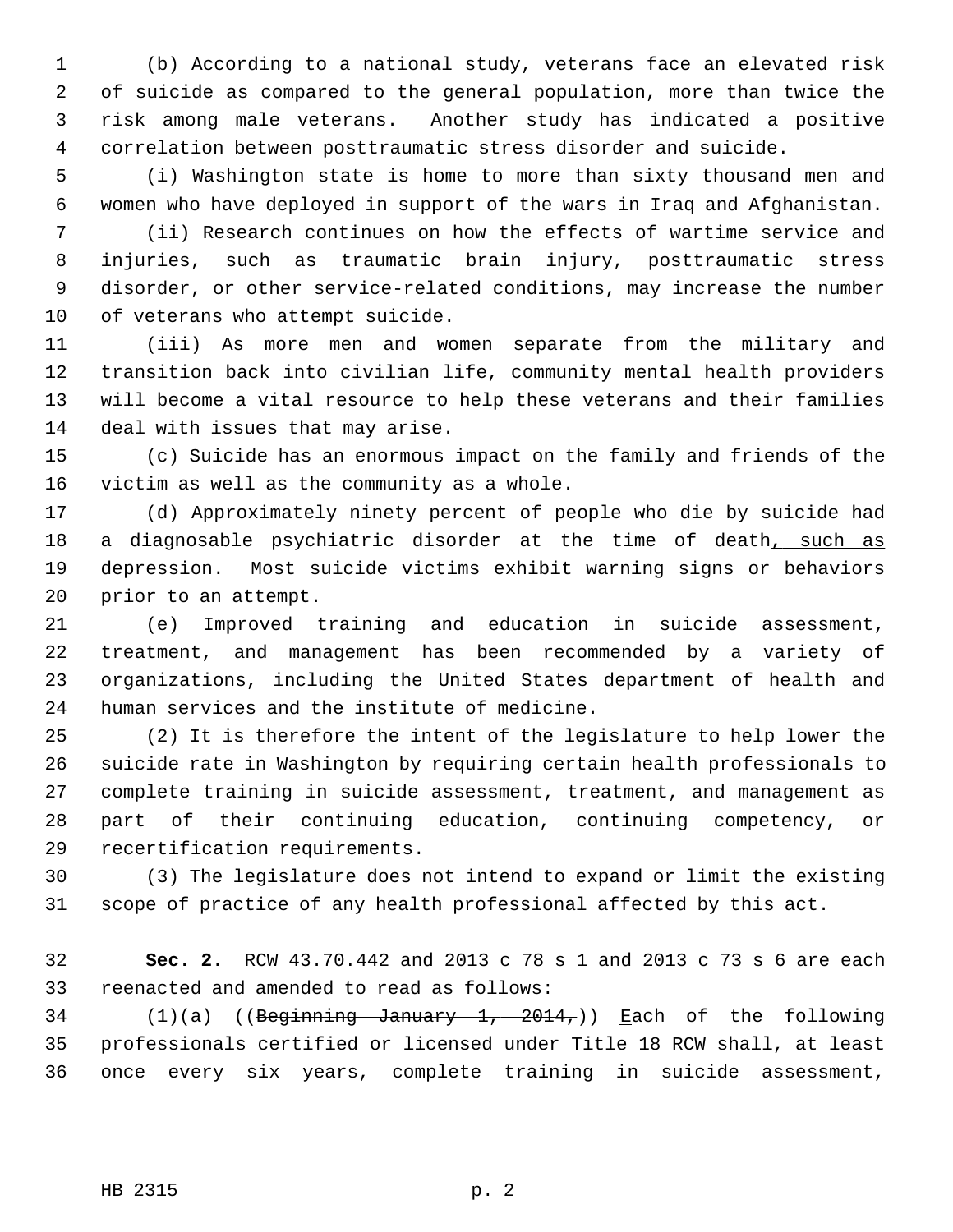1 (b) According to a national study, veterans face an elevated risk 2 of suicide as compared to the general population, more than twice the 3 risk among male veterans. Another study has indicated a positive 4 correlation between posttraumatic stress disorder and suicide.

 5 (i) Washington state is home to more than sixty thousand men and 6 women who have deployed in support of the wars in Iraq and Afghanistan.

 7 (ii) Research continues on how the effects of wartime service and 8 injuries, such as traumatic brain injury, posttraumatic stress 9 disorder, or other service-related conditions, may increase the number 10 of veterans who attempt suicide.

11 (iii) As more men and women separate from the military and 12 transition back into civilian life, community mental health providers 13 will become a vital resource to help these veterans and their families 14 deal with issues that may arise.

15 (c) Suicide has an enormous impact on the family and friends of the 16 victim as well as the community as a whole.

17 (d) Approximately ninety percent of people who die by suicide had 18 a diagnosable psychiatric disorder at the time of death, such as 19 depression. Most suicide victims exhibit warning signs or behaviors 20 prior to an attempt.

21 (e) Improved training and education in suicide assessment, 22 treatment, and management has been recommended by a variety of 23 organizations, including the United States department of health and 24 human services and the institute of medicine.

25 (2) It is therefore the intent of the legislature to help lower the 26 suicide rate in Washington by requiring certain health professionals to 27 complete training in suicide assessment, treatment, and management as 28 part of their continuing education, continuing competency, or 29 recertification requirements.

30 (3) The legislature does not intend to expand or limit the existing 31 scope of practice of any health professional affected by this act.

32 **Sec. 2.** RCW 43.70.442 and 2013 c 78 s 1 and 2013 c 73 s 6 are each 33 reenacted and amended to read as follows:

34 (1)(a) ((Beginning January 1, 2014,)) Each of the following 35 professionals certified or licensed under Title 18 RCW shall, at least 36 once every six years, complete training in suicide assessment,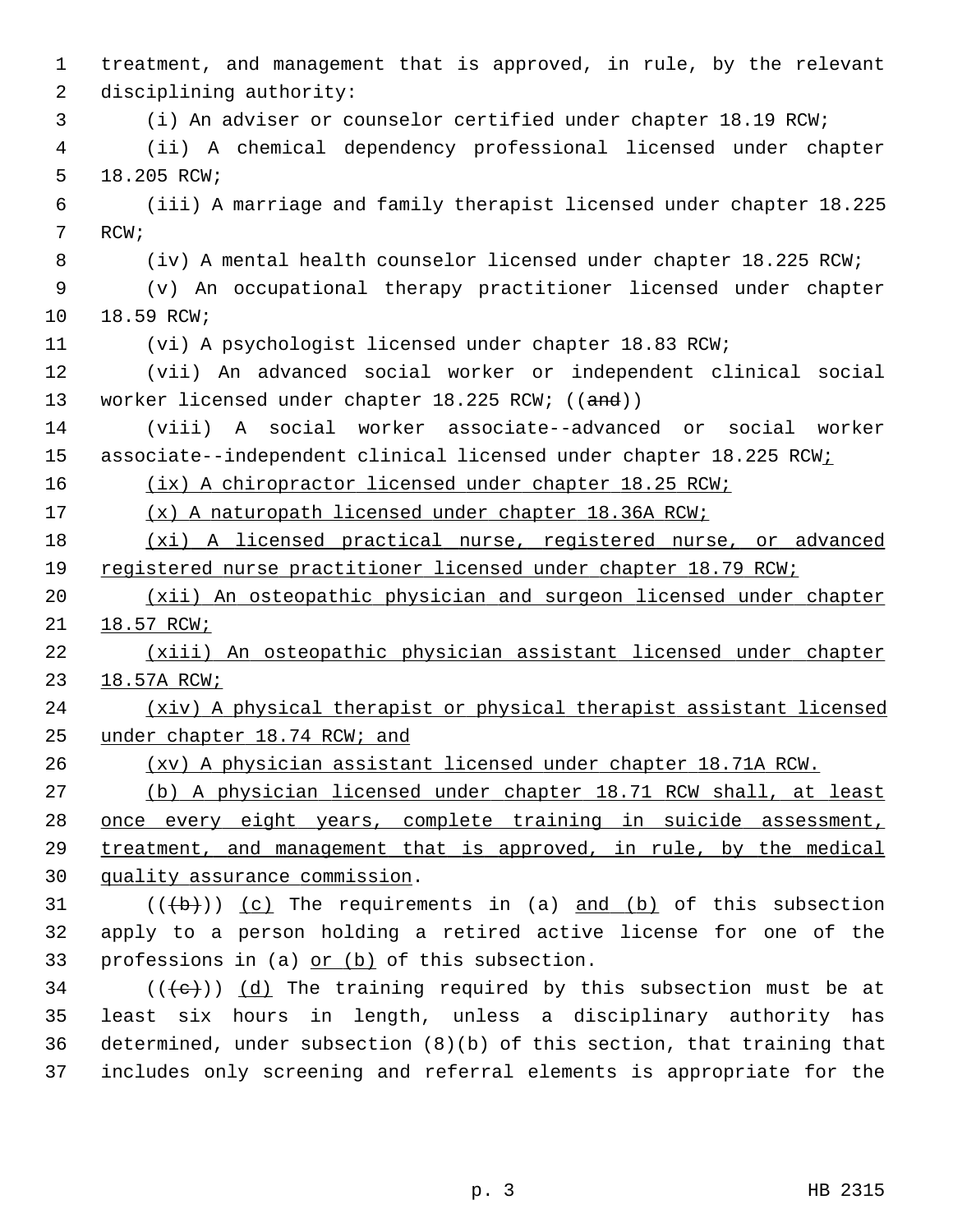1 treatment, and management that is approved, in rule, by the relevant 2 disciplining authority: 3 (i) An adviser or counselor certified under chapter 18.19 RCW; 4 (ii) A chemical dependency professional licensed under chapter 5 18.205 RCW; 6 (iii) A marriage and family therapist licensed under chapter 18.225 7 RCW; 8 (iv) A mental health counselor licensed under chapter 18.225 RCW; 9 (v) An occupational therapy practitioner licensed under chapter 10 18.59 RCW; 11 (vi) A psychologist licensed under chapter 18.83 RCW; 12 (vii) An advanced social worker or independent clinical social 13 worker licensed under chapter 18.225 RCW; ((and)) 14 (viii) A social worker associate--advanced or social worker 15 associate--independent clinical licensed under chapter 18.225 RCW; 16 (ix) A chiropractor licensed under chapter 18.25 RCW; 17 (x) A naturopath licensed under chapter 18.36A RCW; 18 (xi) A licensed practical nurse, registered nurse, or advanced 19 registered nurse practitioner licensed under chapter 18.79 RCW; 20 (xii) An osteopathic physician and surgeon licensed under chapter 21 18.57 RCW; 22 (xiii) An osteopathic physician assistant licensed under chapter 23 18.57A RCW; 24 (xiv) A physical therapist or physical therapist assistant licensed 25 under chapter 18.74 RCW; and 26 (xv) A physician assistant licensed under chapter 18.71A RCW. 27 (b) A physician licensed under chapter 18.71 RCW shall, at least 28 once every eight years, complete training in suicide assessment, 29 treatment, and management that is approved, in rule, by the medical 30 quality assurance commission.  $31$  (( $\left(\frac{b}{b}\right)$ ) (c) The requirements in (a) and (b) of this subsection 32 apply to a person holding a retired active license for one of the 33 professions in (a) or (b) of this subsection.  $34$  (( $\left(\left\langle e\right\rangle\right)$ ) (d) The training required by this subsection must be at 35 least six hours in length, unless a disciplinary authority has 36 determined, under subsection (8)(b) of this section, that training that 37 includes only screening and referral elements is appropriate for the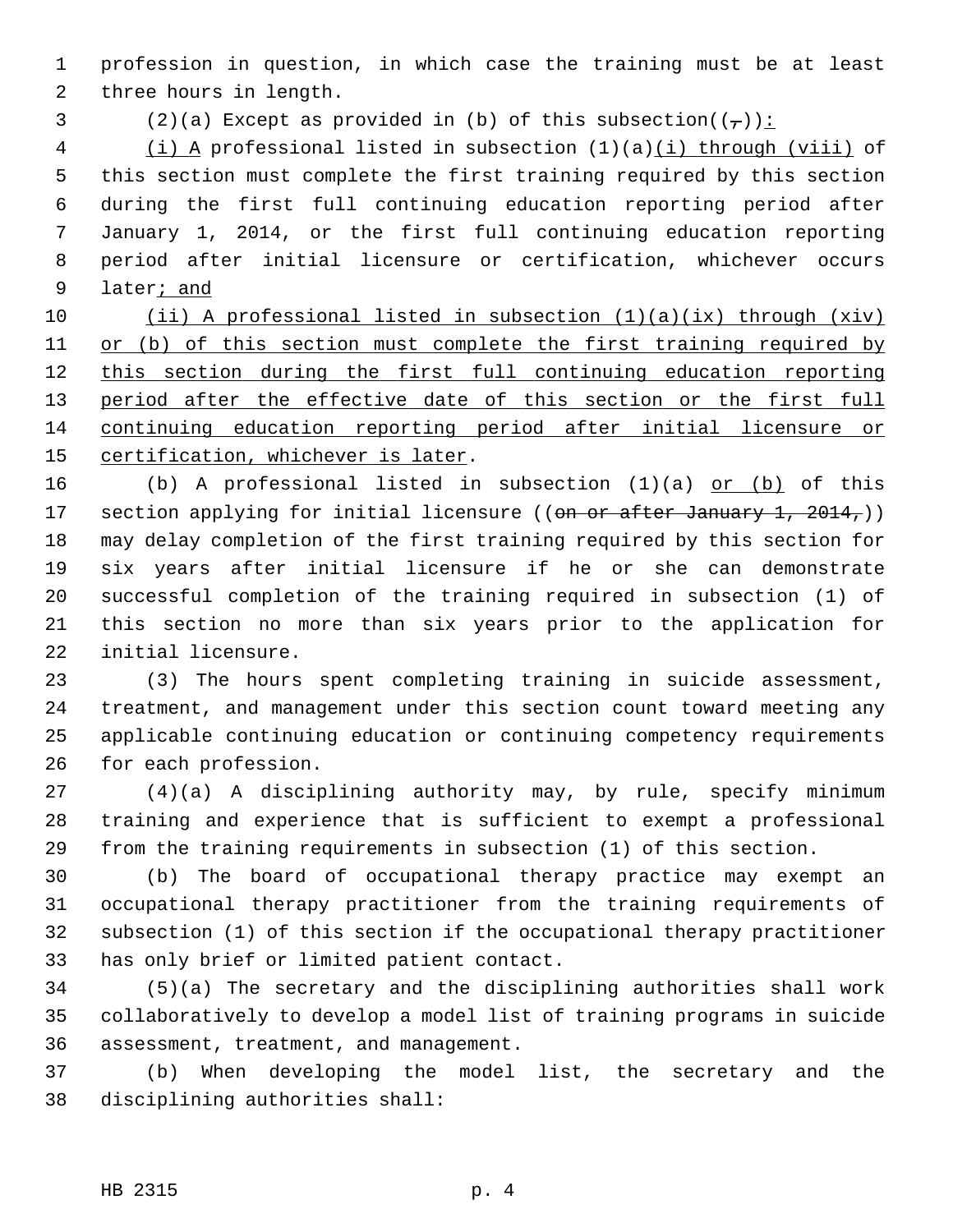1 profession in question, in which case the training must be at least 2 three hours in length.

3 (2)(a) Except as provided in (b) of this subsection( $(\frac{1}{\epsilon})$ ):

 4 (i) A professional listed in subsection (1)(a)(i) through (viii) of 5 this section must complete the first training required by this section 6 during the first full continuing education reporting period after 7 January 1, 2014, or the first full continuing education reporting 8 period after initial licensure or certification, whichever occurs 9 later; and

 (ii) A professional listed in subsection (1)(a)(ix) through (xiv) 11 or (b) of this section must complete the first training required by this section during the first full continuing education reporting 13 period after the effective date of this section or the first full continuing education reporting period after initial licensure or certification, whichever is later.

16 (b) A professional listed in subsection (1)(a) or (b) of this 17 section applying for initial licensure ((on or after January 1, 2014,)) 18 may delay completion of the first training required by this section for 19 six years after initial licensure if he or she can demonstrate 20 successful completion of the training required in subsection (1) of 21 this section no more than six years prior to the application for 22 initial licensure.

23 (3) The hours spent completing training in suicide assessment, 24 treatment, and management under this section count toward meeting any 25 applicable continuing education or continuing competency requirements 26 for each profession.

27 (4)(a) A disciplining authority may, by rule, specify minimum 28 training and experience that is sufficient to exempt a professional 29 from the training requirements in subsection (1) of this section.

30 (b) The board of occupational therapy practice may exempt an 31 occupational therapy practitioner from the training requirements of 32 subsection (1) of this section if the occupational therapy practitioner 33 has only brief or limited patient contact.

34 (5)(a) The secretary and the disciplining authorities shall work 35 collaboratively to develop a model list of training programs in suicide 36 assessment, treatment, and management.

37 (b) When developing the model list, the secretary and the 38 disciplining authorities shall: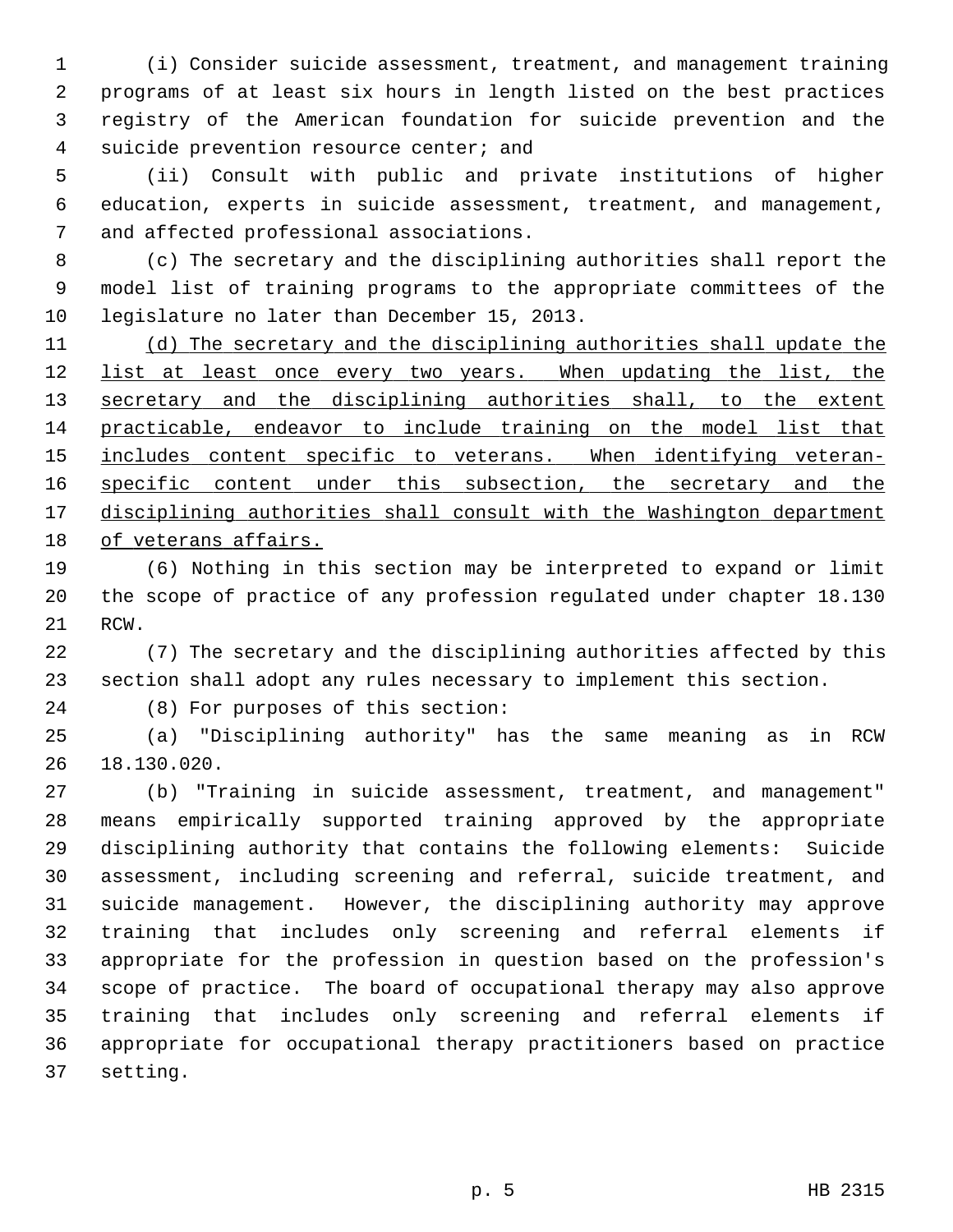1 (i) Consider suicide assessment, treatment, and management training 2 programs of at least six hours in length listed on the best practices 3 registry of the American foundation for suicide prevention and the 4 suicide prevention resource center; and

 5 (ii) Consult with public and private institutions of higher 6 education, experts in suicide assessment, treatment, and management, 7 and affected professional associations.

 8 (c) The secretary and the disciplining authorities shall report the 9 model list of training programs to the appropriate committees of the 10 legislature no later than December 15, 2013.

 (d) The secretary and the disciplining authorities shall update the list at least once every two years. When updating the list, the 13 secretary and the disciplining authorities shall, to the extent practicable, endeavor to include training on the model list that includes content specific to veterans. When identifying veteran-16 specific content under this subsection, the secretary and the disciplining authorities shall consult with the Washington department of veterans affairs.

19 (6) Nothing in this section may be interpreted to expand or limit 20 the scope of practice of any profession regulated under chapter 18.130 21 RCW.

22 (7) The secretary and the disciplining authorities affected by this 23 section shall adopt any rules necessary to implement this section.

24 (8) For purposes of this section:

25 (a) "Disciplining authority" has the same meaning as in RCW 26 18.130.020.

27 (b) "Training in suicide assessment, treatment, and management" 28 means empirically supported training approved by the appropriate 29 disciplining authority that contains the following elements: Suicide 30 assessment, including screening and referral, suicide treatment, and 31 suicide management. However, the disciplining authority may approve 32 training that includes only screening and referral elements if 33 appropriate for the profession in question based on the profession's 34 scope of practice. The board of occupational therapy may also approve 35 training that includes only screening and referral elements if 36 appropriate for occupational therapy practitioners based on practice 37 setting.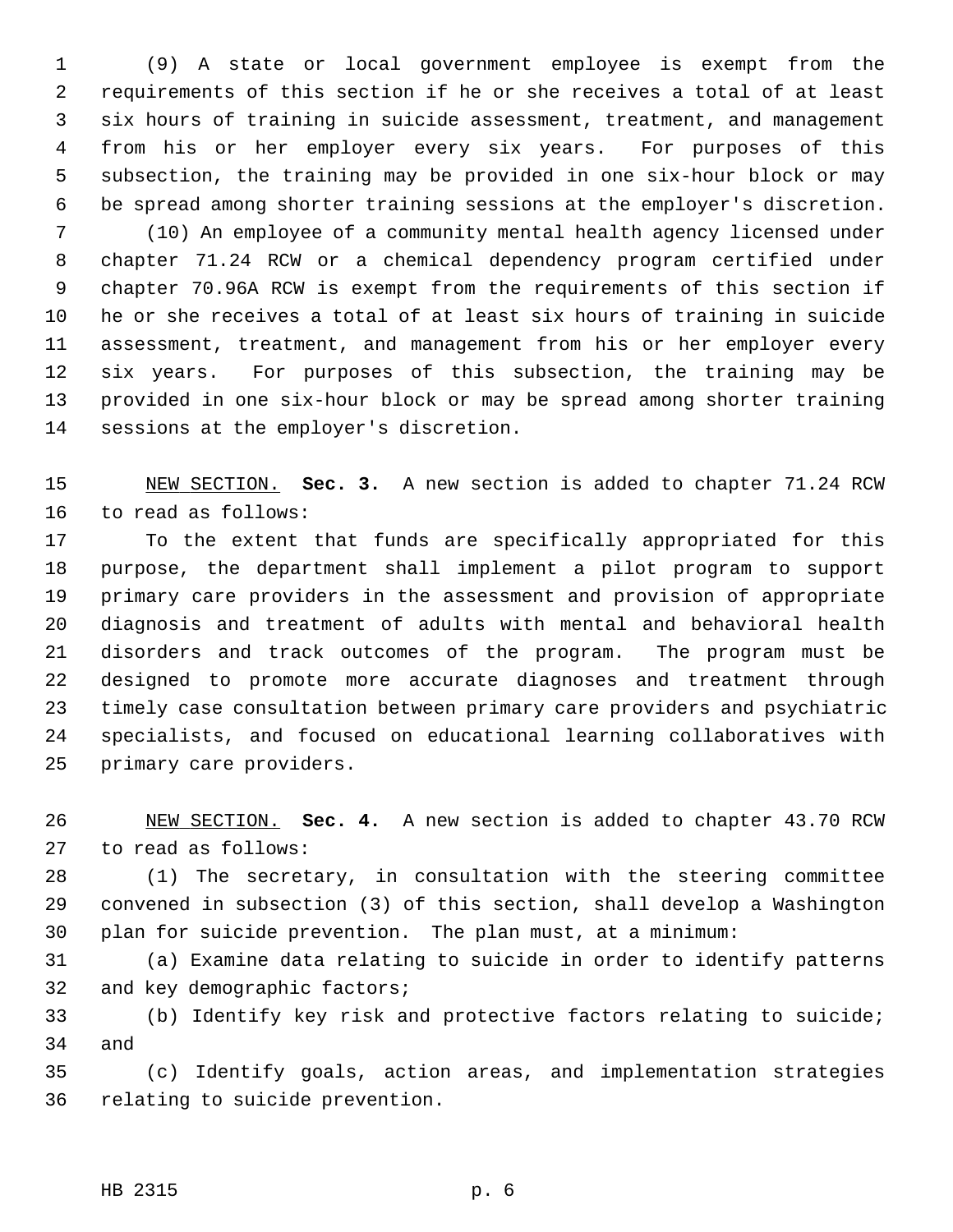1 (9) A state or local government employee is exempt from the 2 requirements of this section if he or she receives a total of at least 3 six hours of training in suicide assessment, treatment, and management 4 from his or her employer every six years. For purposes of this 5 subsection, the training may be provided in one six-hour block or may 6 be spread among shorter training sessions at the employer's discretion. 7 (10) An employee of a community mental health agency licensed under 8 chapter 71.24 RCW or a chemical dependency program certified under 9 chapter 70.96A RCW is exempt from the requirements of this section if 10 he or she receives a total of at least six hours of training in suicide 11 assessment, treatment, and management from his or her employer every 12 six years. For purposes of this subsection, the training may be 13 provided in one six-hour block or may be spread among shorter training 14 sessions at the employer's discretion.

15 NEW SECTION. **Sec. 3.** A new section is added to chapter 71.24 RCW 16 to read as follows:

17 To the extent that funds are specifically appropriated for this 18 purpose, the department shall implement a pilot program to support 19 primary care providers in the assessment and provision of appropriate 20 diagnosis and treatment of adults with mental and behavioral health 21 disorders and track outcomes of the program. The program must be 22 designed to promote more accurate diagnoses and treatment through 23 timely case consultation between primary care providers and psychiatric 24 specialists, and focused on educational learning collaboratives with 25 primary care providers.

26 NEW SECTION. **Sec. 4.** A new section is added to chapter 43.70 RCW 27 to read as follows:

28 (1) The secretary, in consultation with the steering committee 29 convened in subsection (3) of this section, shall develop a Washington 30 plan for suicide prevention. The plan must, at a minimum:

31 (a) Examine data relating to suicide in order to identify patterns 32 and key demographic factors;

33 (b) Identify key risk and protective factors relating to suicide; 34 and

35 (c) Identify goals, action areas, and implementation strategies 36 relating to suicide prevention.